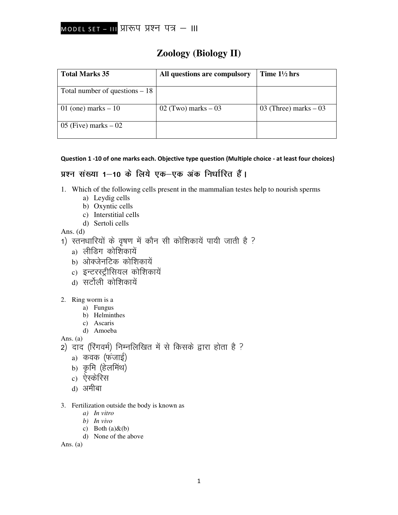# **Zoology (Biology II)**

| <b>Total Marks 35</b>           | All questions are compulsory | Time $1\frac{1}{2}$ hrs |
|---------------------------------|------------------------------|-------------------------|
| Total number of questions $-18$ |                              |                         |
| 01 (one) marks $-10$            | $02$ (Two) marks $-03$       | 03 (Three) marks $-03$  |
| $105$ (Five) marks $-02$        |                              |                         |

Question 1 -10 of one marks each. Objective type question (Multiple choice - at least four choices)

# प्रश्न संख्या 1-10 के लिये एक-एक अंक निर्धारित हैं।

- 1. Which of the following cells present in the mammalian testes help to nourish sperms
	- a) Leydig cells
	- b) Oxyntic cells
	- c) Interstitial cells
	- d) Sertoli cells

Ans.  $(d)$ 

- 1) स्तनधारियों के वृषण में कौन सी कोशिकायें पायी जाती है ?
	- a) लीडिंग कोशिकायें
	- b) ओक्जेनटिक कोशिकायें
	- c) इन्टरस्ट्रीसियल कोशिकायें
	- d) सर्टोली कोशिकायें
- 2. Ring worm is a
	- a) Fungus
	- b) Helminthes
	- c) Ascaris d) Amoeba

Ans.  $(a)$ 

- 2) दाद (रिंगवर्म) निम्नलिखित में से किसके द्वारा होता है ?
	- a) कवक (फंजाई)
	- b) कृमि (हेलमिंथ)
	- c) ऐस्केरिस
	- d) अमीबा
- 3. Fertilization outside the body is known as
	- $a)$  In vitro
	- $b)$  In vivo
	- c) Both  $(a)$  &  $(b)$
	- d) None of the above

Ans.  $(a)$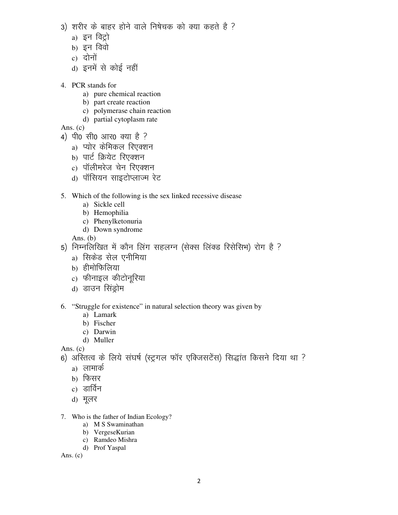- 3) शरीर के बाहर होने वाले निषेचक को क्या कहते है ?
	- a) इन विट्रो
	- $b)$  इन विवो
	- $c)$  दोनों
	- d) इनमें से कोई नहीं
- 4. PCR stands for
	- a) pure chemical reaction
	- b) part create reaction
	- c) polymerase chain reaction
	- d) partial cytoplasm rate
- Ans. (c)
- 4) पी0 सी0 आर0 क्या है ?
	- a) प्योर केमिकल रिएक्शन
	- b) पार्ट क्रियेट रिएक्शन
	- c) पॉलीमरेज चेन रिएक्शन
	- d) पॉसियन साइटोप्लाज्म रेट
- 5. Which of the following is the sex linked recessive disease
	- a) Sickle cell
	- b) Hemophilia
	- c) Phenylketonuria
	- d) Down syndrome

Ans. (b)

- 5) निम्नलिखित में कौन लिंग सहलग्न (सेक्स लिंक्ड रिसेसिभ) रोग है ?
	- a) सिकेड सेल एनीमिया
	- b) हीमोफिलिया
	- c) फीनाइल कीटोनूरिया
	- d) डाउन सिंड्रोम
- 6. "Struggle for existence" in natural selection theory was given by
	- a) Lamark
	- b) Fischer
	- c) Darwin
	- d) Muller

Ans. (c)

6) अस्तित्व के लिये संघर्ष (स्ट्रगल फॉर एक्जिसटेंस) सिद्धांत किसने दिया था ?

- a) लामार्क
- b) फिसर
- c) डार्विन
- d) मूलर
- 7. Who is the father of Indian Ecology?
	- a) M S Swaminathan
	- b) VergeseKurian
	- c) Ramdeo Mishra
	- d) Prof Yaspal

Ans.  $(c)$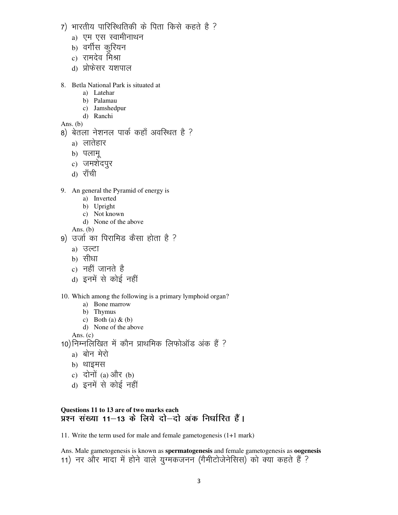- 7) भारतीय पारिस्थितिकी के पिता किसे कहते है ?
	- a) एम एस स्वामीनाथन
	- b) वर्गीस करियन
	- c) रामदेव मिश्रा
	- d) प्रोफेसर यशपाल
- 8. Betla National Park is situated at
	- a) Latehar
	- b) Palamau
	- c) Jamshedpur
	- d) Ranchi

Ans.  $(b)$ 

- 8) बेतला नेशनल पार्क कहाँ अवस्थित है ?
	- a) लातेहार
	- b) पलामू
	- c) जमशेदपुर
	- d) राँची
- 9. An general the Pyramid of energy is
	- a) Inverted
	- b) Upright
	- c) Not known
	- d) None of the above

Ans.  $(b)$ 

- 9) उर्जा का पिरामिड कैसा होता है ?
	- a) उल्टा
	- b) सीधा
	- c) नहीं जानते है
	- d) इनमें से कोई नहीं
- 10. Which among the following is a primary lymphoid organ?
	- a) Bone marrow
	- b) Thymus
	- c) Both (a)  $\&$  (b)
	- d) None of the above

Ans.  $(c)$ 

10) निम्नलिखित में कौन प्राथमिक लिफोऑड अंक हैं ?

- a) बोन मेरो
- b) थाइमस
- c) दोनों (a) और (b)
- d) इनमें से कोई नहीं

### Questions 11 to 13 are of two marks each प्रश्न संख्या 11–13 के लिये दो–दो अंक निर्धारित हैं।

11. Write the term used for male and female gametogenesis  $(1+1)$  mark)

Ans. Male gametogenesis is known as spermatogenesis and female gametogenesis as oogenesis 11) नर और मादा में होने वाले युग्मकजनन (गैमीटोजेनेसिस) को क्या कहते हैं ?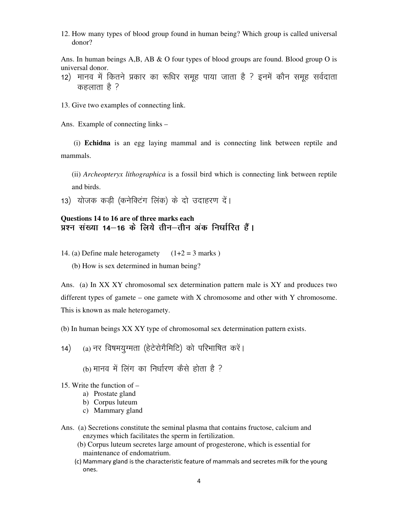12. How many types of blood group found in human being? Which group is called universal donor?

Ans. In human beings  $A, B, AB \& O$  four types of blood groups are found. Blood group O is universal donor.

12) मानव में कितने प्रकार का रूधिर समूह पाया जाता है ? इनमें कौन समूह सर्वदाता कहलाता है  $?$ 

13. Give two examples of connecting link.

Ans. Example of connecting links –

 (i) **Echidna** is an egg laying mammal and is connecting link between reptile and mammals.

(ii) *Archeopteryx lithographica* is a fossil bird which is connecting link between reptile and birds.

13) योजक कडी (कनेक्टिंग लिंक) के दो उदाहरण दें।

### **Questions 14 to 16 are of three marks each**  प्रश्न संख्या 14—16 के लिये तीन—तीन अंक निर्धारित हैं।

- 14. (a) Define male heterogamety  $(1+2 = 3$  marks )
	- (b) How is sex determined in human being?

Ans. (a) In XX XY chromosomal sex determination pattern male is XY and produces two different types of gamete – one gamete with X chromosome and other with Y chromosome. This is known as male heterogamety.

(b) In human beings XX XY type of chromosomal sex determination pattern exists.

- 14) (a) नर विषमयुग्मता (हेटेरोगैमिटि) को परिभाषित करें।
	- (b) मानव में लिंग का निर्धारण कैसे होता है ?
- 15. Write the function of
	- a) Prostate gland
	- b) Corpus luteum
	- c) Mammary gland
- Ans. (a) Secretions constitute the seminal plasma that contains fructose, calcium and enzymes which facilitates the sperm in fertilization.
	- (b) Corpus luteum secretes large amount of progesterone, which is essential for maintenance of endomatrium.
	- (c) Mammary gland is the characteristic feature of mammals and secretes milk for the young ones.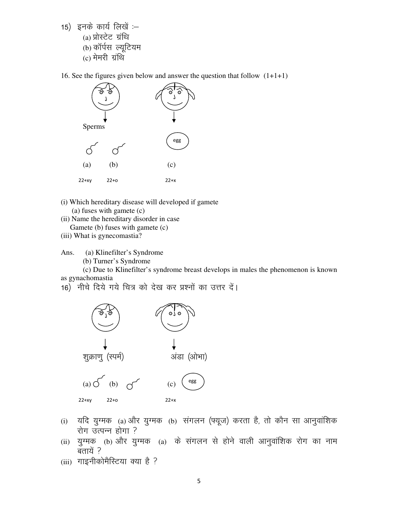15) इनके कार्य लिखें :-(a) प्रोस्टेट ग्रंथि (b) कॉर्पस ल्यूटियम  $(c)$  मेमरी ग्रंथि

16. See the figures given below and answer the question that follow  $(1+1+1)$ 



- (i) Which hereditary disease will developed if gamete  $(a)$  fuses with gamete  $(c)$
- (ii) Name the hereditary disorder in case Gamete (b) fuses with gamete (c)
- (iii) What is gynecomastia?

Ans. (a) Klinefilter's Syndrome

(b) Turner's Syndrome

(c) Due to Klinefilter's syndrome breast develops in males the phenomenon is known as gynachomastia

16) नीचे दिये गये चित्र को देख कर प्रश्नों का उत्तर दें।



- यदि युग्मक (a) और युग्मक (b) संगलन (फ्यूज) करता है, तो कौन सा आनुवांशिक  $(i)$ रोग उत्पन्न होगा ?
- (ii) युग्मक (b) और युग्मक (a) के संगलन से होने वाली आनुवांशिक रोग का नाम बतायें ?
- (iii) गाइनीकोमैरिटया क्या है ?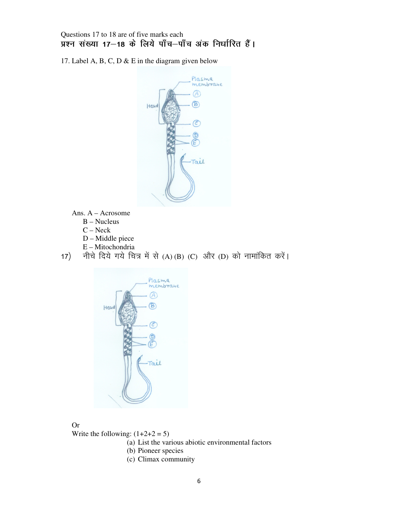Questions 17 to 18 are of five marks each ww. प्रश्न संख्या 17-18 के लिये पाँच-पाँच अंक निर्धारित हैं।

17. Label A, B, C, D & E in the diagram given below



- Ans. A Acrosome
	- B Nucleus
	- C Neck
	- D Middle piece
	- E Mitochondria

17) नीचे दिये गये चित्र में से (A) (B) (C) और (D) को नामांकित करें।



#### Or

Write the following:  $(1+2+2=5)$ 

- (a) List the various abiotic environmental factors
- (b) Pioneer species
- (c) Climax community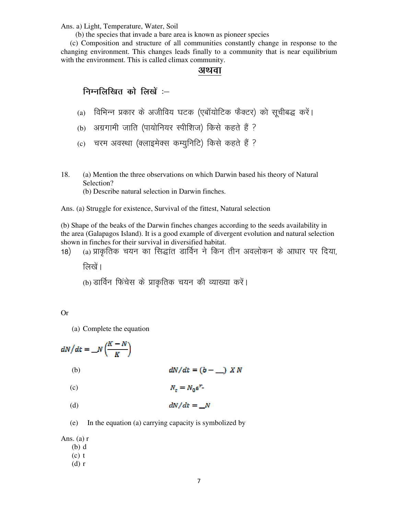Ans. a) Light, Temperature, Water, Soil

(b) the species that invade a bare area is known as pioneer species

(c) Composition and structure of all communities constantly change in response to the changing environment. This changes leads finally to a community that is near equilibrium with the environment. This is called climax community.

#### अथवा

## निम्नलिखित को लिखें :-

- (a) विभिन्न प्रकार के अजीविय घटक (एबॉयोटिक फैक्टर) को सूचीबद्ध करें।
- (b) अग्रगामी जाति (पायोनियर स्पीशिज) किसे कहते हैं ?
- (c) चरम अवस्था (क्लाइमेक्स कम्युनिटि) किसे कहते हैं ?
- 18. (a) Mention the three observations on which Darwin based his theory of Natural Selection?

(b) Describe natural selection in Darwin finches.

Ans. (a) Struggle for existence, Survival of the fittest, Natural selection

(b) Shape of the beaks of the Darwin finches changes according to the seeds availability in the area (Galapagos Island). It is a good example of divergent evolution and natural selection shown in finches for their survival in diversified habitat.

(a) प्राकृतिक चयन का सिद्धांत डार्विन ने किन तीन अवलोकन के आधार पर दिया, 18)

लिखें ।

(b) डार्विन फिंचेस के प्राकृतिक चयन की व्याख्या करें।

#### $Or$

(a) Complete the equation

$$
dN/dt = N\left(\frac{K-N}{K}\right)
$$
\n(b)

\n
$$
dN/dt = (b - 1) \times N
$$
\n(c)

\n
$$
N_t = N_0 e^{r}
$$
\n(d)

\n
$$
dN/dt = N
$$

In the equation (a) carrying capacity is symbolized by (e)

Ans. (a)  $r$ 

- $(b) d$
- $(c)$  t
- $(d)$  r